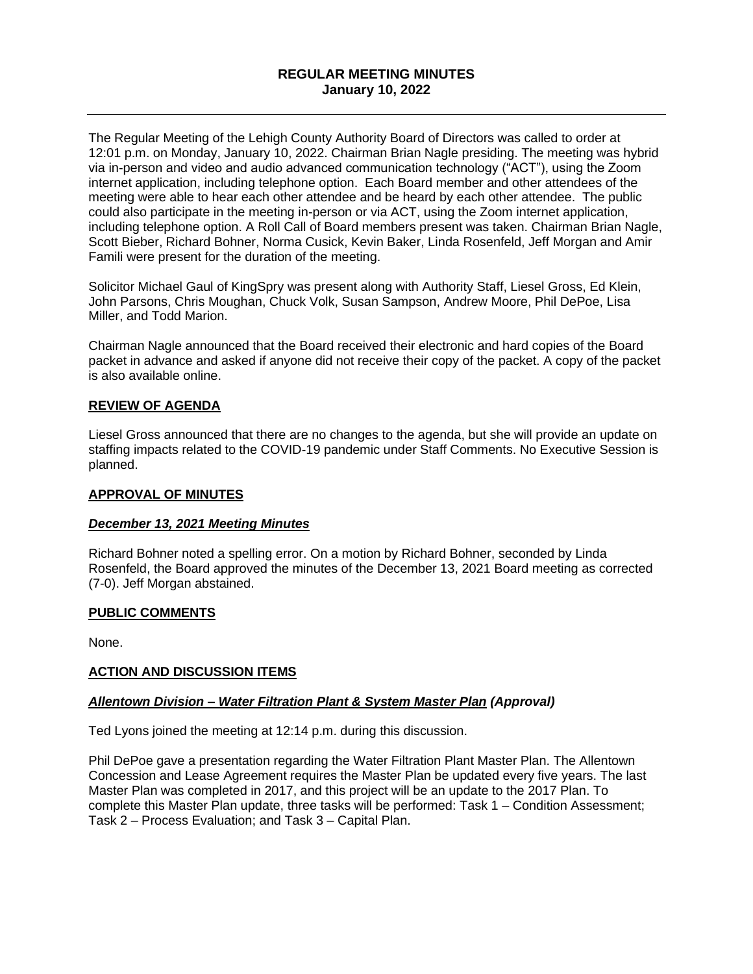# **REGULAR MEETING MINUTES January 10, 2022**

The Regular Meeting of the Lehigh County Authority Board of Directors was called to order at 12:01 p.m. on Monday, January 10, 2022. Chairman Brian Nagle presiding. The meeting was hybrid via in-person and video and audio advanced communication technology ("ACT"), using the Zoom internet application, including telephone option. Each Board member and other attendees of the meeting were able to hear each other attendee and be heard by each other attendee. The public could also participate in the meeting in-person or via ACT, using the Zoom internet application, including telephone option. A Roll Call of Board members present was taken. Chairman Brian Nagle, Scott Bieber, Richard Bohner, Norma Cusick, Kevin Baker, Linda Rosenfeld, Jeff Morgan and Amir Famili were present for the duration of the meeting.

Solicitor Michael Gaul of KingSpry was present along with Authority Staff, Liesel Gross, Ed Klein, John Parsons, Chris Moughan, Chuck Volk, Susan Sampson, Andrew Moore, Phil DePoe, Lisa Miller, and Todd Marion.

Chairman Nagle announced that the Board received their electronic and hard copies of the Board packet in advance and asked if anyone did not receive their copy of the packet. A copy of the packet is also available online.

# **REVIEW OF AGENDA**

Liesel Gross announced that there are no changes to the agenda, but she will provide an update on staffing impacts related to the COVID-19 pandemic under Staff Comments. No Executive Session is planned.

### **APPROVAL OF MINUTES**

### *December 13, 2021 Meeting Minutes*

Richard Bohner noted a spelling error. On a motion by Richard Bohner, seconded by Linda Rosenfeld, the Board approved the minutes of the December 13, 2021 Board meeting as corrected (7-0). Jeff Morgan abstained.

### **PUBLIC COMMENTS**

None.

### **ACTION AND DISCUSSION ITEMS**

#### *Allentown Division – Water Filtration Plant & System Master Plan (Approval)*

Ted Lyons joined the meeting at 12:14 p.m. during this discussion.

Phil DePoe gave a presentation regarding the Water Filtration Plant Master Plan. The Allentown Concession and Lease Agreement requires the Master Plan be updated every five years. The last Master Plan was completed in 2017, and this project will be an update to the 2017 Plan. To complete this Master Plan update, three tasks will be performed: Task 1 – Condition Assessment; Task 2 – Process Evaluation; and Task 3 – Capital Plan.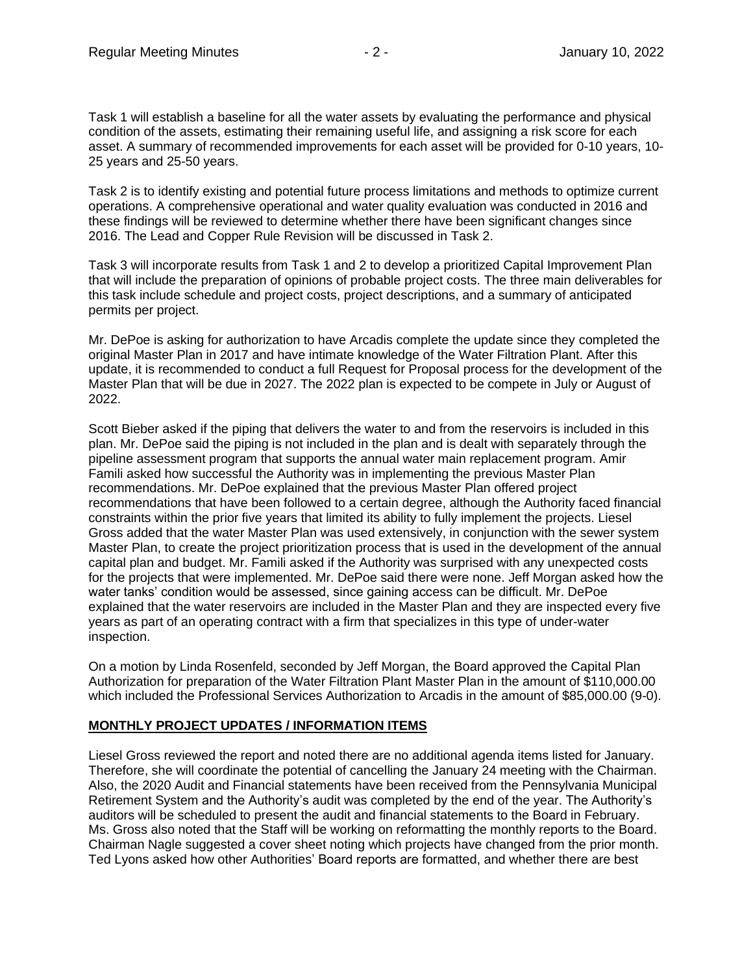Task 1 will establish a baseline for all the water assets by evaluating the performance and physical condition of the assets, estimating their remaining useful life, and assigning a risk score for each asset. A summary of recommended improvements for each asset will be provided for 0-10 years, 10- 25 years and 25-50 years.

Task 2 is to identify existing and potential future process limitations and methods to optimize current operations. A comprehensive operational and water quality evaluation was conducted in 2016 and these findings will be reviewed to determine whether there have been significant changes since 2016. The Lead and Copper Rule Revision will be discussed in Task 2.

Task 3 will incorporate results from Task 1 and 2 to develop a prioritized Capital Improvement Plan that will include the preparation of opinions of probable project costs. The three main deliverables for this task include schedule and project costs, project descriptions, and a summary of anticipated permits per project.

Mr. DePoe is asking for authorization to have Arcadis complete the update since they completed the original Master Plan in 2017 and have intimate knowledge of the Water Filtration Plant. After this update, it is recommended to conduct a full Request for Proposal process for the development of the Master Plan that will be due in 2027. The 2022 plan is expected to be compete in July or August of 2022.

Scott Bieber asked if the piping that delivers the water to and from the reservoirs is included in this plan. Mr. DePoe said the piping is not included in the plan and is dealt with separately through the pipeline assessment program that supports the annual water main replacement program. Amir Famili asked how successful the Authority was in implementing the previous Master Plan recommendations. Mr. DePoe explained that the previous Master Plan offered project recommendations that have been followed to a certain degree, although the Authority faced financial constraints within the prior five years that limited its ability to fully implement the projects. Liesel Gross added that the water Master Plan was used extensively, in conjunction with the sewer system Master Plan, to create the project prioritization process that is used in the development of the annual capital plan and budget. Mr. Famili asked if the Authority was surprised with any unexpected costs for the projects that were implemented. Mr. DePoe said there were none. Jeff Morgan asked how the water tanks' condition would be assessed, since gaining access can be difficult. Mr. DePoe explained that the water reservoirs are included in the Master Plan and they are inspected every five years as part of an operating contract with a firm that specializes in this type of under-water inspection.

On a motion by Linda Rosenfeld, seconded by Jeff Morgan, the Board approved the Capital Plan Authorization for preparation of the Water Filtration Plant Master Plan in the amount of \$110,000.00 which included the Professional Services Authorization to Arcadis in the amount of \$85,000.00 (9-0).

### **MONTHLY PROJECT UPDATES / INFORMATION ITEMS**

Liesel Gross reviewed the report and noted there are no additional agenda items listed for January. Therefore, she will coordinate the potential of cancelling the January 24 meeting with the Chairman. Also, the 2020 Audit and Financial statements have been received from the Pennsylvania Municipal Retirement System and the Authority's audit was completed by the end of the year. The Authority's auditors will be scheduled to present the audit and financial statements to the Board in February. Ms. Gross also noted that the Staff will be working on reformatting the monthly reports to the Board. Chairman Nagle suggested a cover sheet noting which projects have changed from the prior month. Ted Lyons asked how other Authorities' Board reports are formatted, and whether there are best